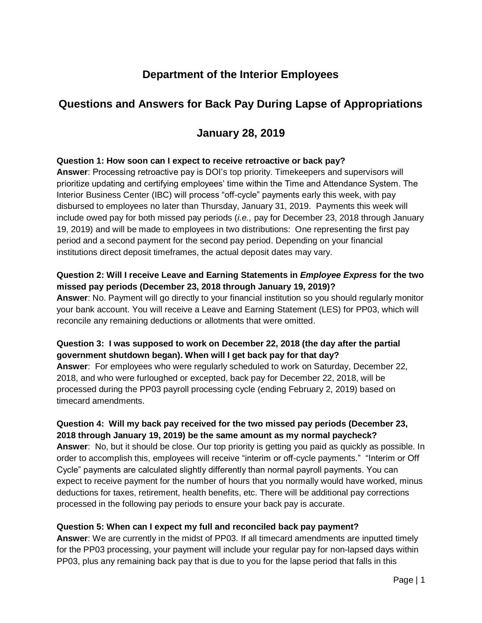# **Department of the Interior Employees**

# **Questions and Answers for Back Pay During Lapse of Appropriations**

### **January 28, 2019**

#### **Question 1: How soon can I expect to receive retroactive or back pay?**

**Answer**: Processing retroactive pay is DOI's top priority. Timekeepers and supervisors will prioritize updating and certifying employees' time within the Time and Attendance System. The Interior Business Center (IBC) will process "off-cycle" payments early this week, with pay disbursed to employees no later than Thursday, January 31, 2019. Payments this week will include owed pay for both missed pay periods (*i.e.,* pay for December 23, 2018 through January 19, 2019) and will be made to employees in two distributions: One representing the first pay period and a second payment for the second pay period. Depending on your financial institutions direct deposit timeframes, the actual deposit dates may vary.

### **Question 2: Will I receive Leave and Earning Statements in** *Employee Express* **for the two missed pay periods (December 23, 2018 through January 19, 2019)?**

**Answer**: No. Payment will go directly to your financial institution so you should regularly monitor your bank account. You will receive a Leave and Earning Statement (LES) for PP03, which will reconcile any remaining deductions or allotments that were omitted.

#### **Question 3: I was supposed to work on December 22, 2018 (the day after the partial government shutdown began). When will I get back pay for that day?**

**Answer**: For employees who were regularly scheduled to work on Saturday, December 22, 2018, and who were furloughed or excepted, back pay for December 22, 2018, will be processed during the PP03 payroll processing cycle (ending February 2, 2019) based on timecard amendments.

#### **Question 4: Will my back pay received for the two missed pay periods (December 23, 2018 through January 19, 2019) be the same amount as my normal paycheck?**

**Answer**: No, but it should be close. Our top priority is getting you paid as quickly as possible. In order to accomplish this, employees will receive "interim or off-cycle payments." "Interim or Off Cycle" payments are calculated slightly differently than normal payroll payments. You can expect to receive payment for the number of hours that you normally would have worked, minus deductions for taxes, retirement, health benefits, etc. There will be additional pay corrections processed in the following pay periods to ensure your back pay is accurate.

#### **Question 5: When can I expect my full and reconciled back pay payment?**

**Answer**: We are currently in the midst of PP03. If all timecard amendments are inputted timely for the PP03 processing, your payment will include your regular pay for non-lapsed days within PP03, plus any remaining back pay that is due to you for the lapse period that falls in this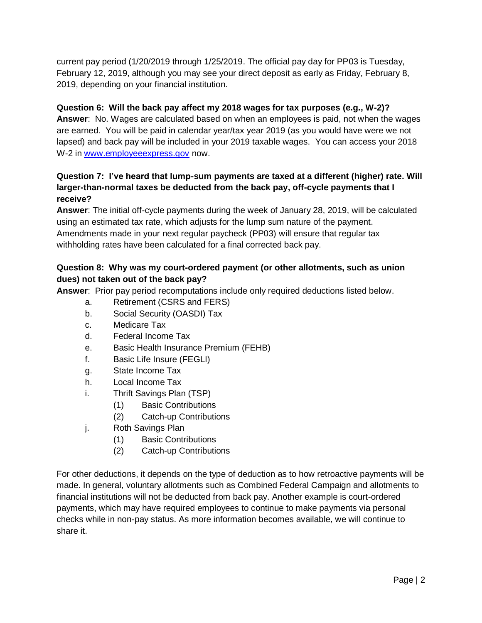current pay period (1/20/2019 through 1/25/2019. The official pay day for PP03 is Tuesday, February 12, 2019, although you may see your direct deposit as early as Friday, February 8, 2019, depending on your financial institution.

### **Question 6: Will the back pay affect my 2018 wages for tax purposes (e.g., W-2)?**

**Answer**: No. Wages are calculated based on when an employees is paid, not when the wages are earned. You will be paid in calendar year/tax year 2019 (as you would have were we not lapsed) and back pay will be included in your 2019 taxable wages. You can access your 2018 W-2 in [www.employeeexpress.gov](http://www.employeeexpress.gov/) now.

#### **Question 7: I've heard that lump-sum payments are taxed at a different (higher) rate. Will larger-than-normal taxes be deducted from the back pay, off-cycle payments that I receive?**

**Answer**: The initial off-cycle payments during the week of January 28, 2019, will be calculated using an estimated tax rate, which adjusts for the lump sum nature of the payment. Amendments made in your next regular paycheck (PP03) will ensure that regular tax withholding rates have been calculated for a final corrected back pay.

#### **Question 8: Why was my court-ordered payment (or other allotments, such as union dues) not taken out of the back pay?**

**Answer**: Prior pay period recomputations include only required deductions listed below.

- a. Retirement (CSRS and FERS)
- b. Social Security (OASDI) Tax
- c. Medicare Tax
- d. Federal Income Tax
- e. Basic Health Insurance Premium (FEHB)
- f. Basic Life Insure (FEGLI)
- g. State Income Tax
- h. Local Income Tax
- i. Thrift Savings Plan (TSP)
	- (1) Basic Contributions
	- (2) Catch-up Contributions
- j. Roth Savings Plan
	- (1) Basic Contributions
	- (2) Catch-up Contributions

For other deductions, it depends on the type of deduction as to how retroactive payments will be made. In general, voluntary allotments such as Combined Federal Campaign and allotments to financial institutions will not be deducted from back pay. Another example is court-ordered payments, which may have required employees to continue to make payments via personal checks while in non-pay status. As more information becomes available, we will continue to share it.